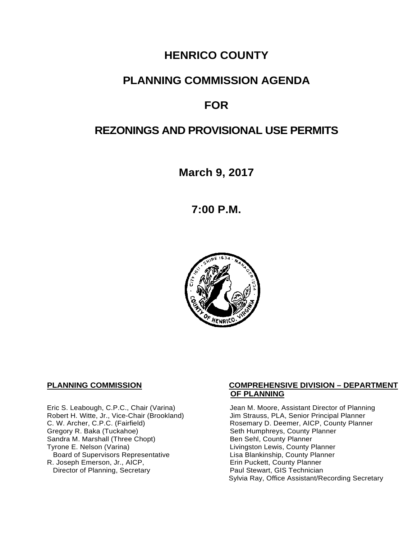## **HENRICO COUNTY**

## **PLANNING COMMISSION AGENDA**

## **FOR**

## **REZONINGS AND PROVISIONAL USE PERMITS**

**March 9, 2017**

**7:00 P.M.**



Eric S. Leabough, C.P.C., Chair (Varina) Jean M. Moore, Assistant Director of Planning<br>Robert H. Witte, Jr., Vice-Chair (Brookland) Jim Strauss, PLA, Senior Principal Planner Robert H. Witte, Jr., Vice-Chair (Brookland)<br>C. W. Archer, C.P.C. (Fairfield) Sandra M. Marshall (Three Chopt)<br>Tyrone E. Nelson (Varina) Board of Supervisors Representative 
Lisa Blankinship, County Planner<br>
Lisa Blankinship, County Planner<br>
Lisa Blankinship, County Planner R. Joseph Emerson, Jr., AICP, Erin Puckett, County Planner<br>
Director of Planning, Secretary **Exercise Paul Stewart, GIS Technician** Director of Planning, Secretary

#### **PLANNING COMMISSION COMPREHENSIVE DIVISION – DEPARTMENT OF PLANNING**

C. W. Archer, C.P.C. (Fairfield) <br>Gregory R. Baka (Tuckahoe) Rosemary D. Deemer, AICP, County Planner<br>
Seth Humphreys, County Planner Seth Humphreys, County Planner<br>Ben Sehl, County Planner Livingston Lewis, County Planner Sylvia Ray, Office Assistant/Recording Secretary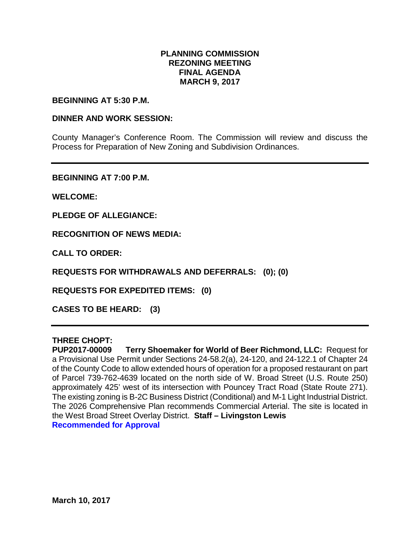### **PLANNING COMMISSION REZONING MEETING FINAL AGENDA MARCH 9, 2017**

#### **BEGINNING AT 5:30 P.M.**

#### **DINNER AND WORK SESSION:**

County Manager's Conference Room. The Commission will review and discuss the Process for Preparation of New Zoning and Subdivision Ordinances.

**BEGINNING AT 7:00 P.M.**

**WELCOME:**

**PLEDGE OF ALLEGIANCE:**

**RECOGNITION OF NEWS MEDIA:**

**CALL TO ORDER:**

**REQUESTS FOR WITHDRAWALS AND DEFERRALS: (0); (0)**

**REQUESTS FOR EXPEDITED ITEMS: (0)**

**CASES TO BE HEARD: (3)**

#### **THREE CHOPT:**

**PUP2017-00009 Terry Shoemaker for World of Beer Richmond, LLC:** Request for a Provisional Use Permit under Sections 24-58.2(a), 24-120, and 24-122.1 of Chapter 24 of the County Code to allow extended hours of operation for a proposed restaurant on part of Parcel 739-762-4639 located on the north side of W. Broad Street (U.S. Route 250) approximately 425' west of its intersection with Pouncey Tract Road (State Route 271). The existing zoning is B-2C Business District (Conditional) and M-1 Light Industrial District. The 2026 Comprehensive Plan recommends Commercial Arterial. The site is located in the West Broad Street Overlay District. **Staff – Livingston Lewis Recommended for Approval**